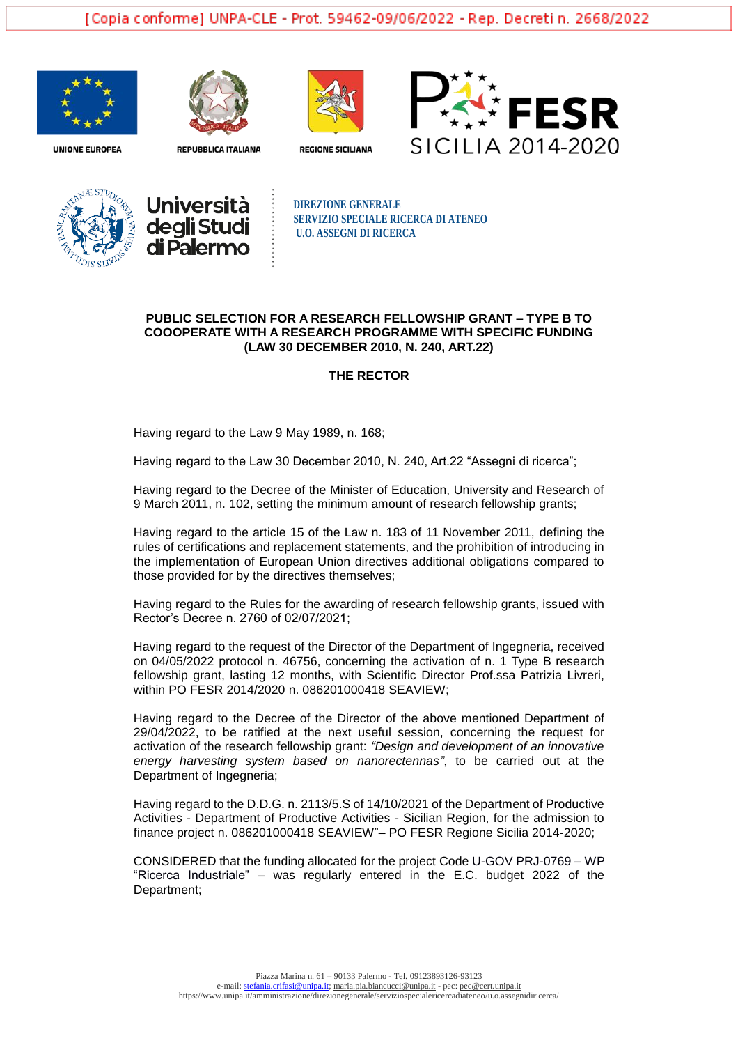







**REPUBBLICA ITALIANA** 

**REGIONE SICILIANA** 





**DIREZIONE GENERALE SERVIZIO SPECIALE RICERCA DI ATENEO U.O. ASSEGNI DI RICERCA**

## **PUBLIC SELECTION FOR A RESEARCH FELLOWSHIP GRANT – TYPE B TO COOOPERATE WITH A RESEARCH PROGRAMME WITH SPECIFIC FUNDING (LAW 30 DECEMBER 2010, N. 240, ART.22)**

#### **THE RECTOR**

Having regard to the Law 9 May 1989, n. 168;

Having regard to the Law 30 December 2010, N. 240, Art.22 "Assegni di ricerca";

Having regard to the Decree of the Minister of Education, University and Research of 9 March 2011, n. 102, setting the minimum amount of research fellowship grants;

Having regard to the article 15 of the Law n. 183 of 11 November 2011, defining the rules of certifications and replacement statements, and the prohibition of introducing in the implementation of European Union directives additional obligations compared to those provided for by the directives themselves;

Having regard to the Rules for the awarding of research fellowship grants, issued with Rector's Decree n. 2760 of 02/07/2021;

Having regard to the request of the Director of the Department of Ingegneria, received on 04/05/2022 protocol n. 46756, concerning the activation of n. 1 Type B research fellowship grant, lasting 12 months, with Scientific Director Prof.ssa Patrizia Livreri, within PO FESR 2014/2020 n. 086201000418 SEAVIEW;

Having regard to the Decree of the Director of the above mentioned Department of 29/04/2022, to be ratified at the next useful session, concerning the request for activation of the research fellowship grant: *"Design and development of an innovative energy harvesting system based on nanorectennas"*, to be carried out at the Department of Ingegneria;

Having regard to the D.D.G. n. 2113/5.S of 14/10/2021 of the Department of Productive Activities - Department of Productive Activities - Sicilian Region, for the admission to finance project n. 086201000418 SEAVIEW"– PO FESR Regione Sicilia 2014-2020;

CONSIDERED that the funding allocated for the project Code U-GOV PRJ-0769 – WP "Ricerca Industriale" – was regularly entered in the E.C. budget 2022 of the Department;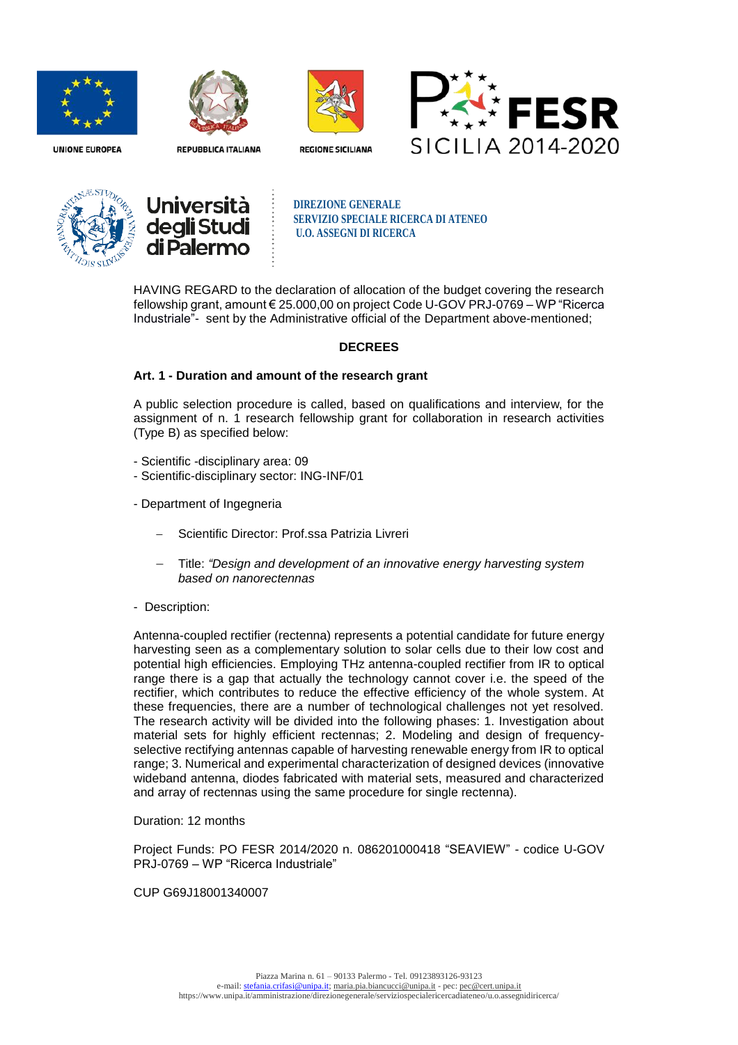



**REPUBBLICA ITALIANA** 









**DIREZIONE GENERALE SERVIZIO SPECIALE RICERCA DI ATENEO U.O. ASSEGNI DI RICERCA**

HAVING REGARD to the declaration of allocation of the budget covering the research fellowship grant, amount € 25.000,00 on project Code U-GOV PRJ-0769 – WP "Ricerca Industriale"- sent by the Administrative official of the Department above-mentioned;

# **DECREES**

## **Art. 1 - Duration and amount of the research grant**

A public selection procedure is called, based on qualifications and interview, for the assignment of n. 1 research fellowship grant for collaboration in research activities (Type B) as specified below:

- Scientific -disciplinary area: 09
- Scientific-disciplinary sector: ING-INF/01
- Department of Ingegneria
	- Scientific Director: Prof.ssa Patrizia Livreri
	- Title: *"Design and development of an innovative energy harvesting system based on nanorectennas*
- Description:

Antenna-coupled rectifier (rectenna) represents a potential candidate for future energy harvesting seen as a complementary solution to solar cells due to their low cost and potential high efficiencies. Employing THz antenna-coupled rectifier from IR to optical range there is a gap that actually the technology cannot cover i.e. the speed of the rectifier, which contributes to reduce the effective efficiency of the whole system. At these frequencies, there are a number of technological challenges not yet resolved. The research activity will be divided into the following phases: 1. Investigation about material sets for highly efficient rectennas; 2. Modeling and design of frequencyselective rectifying antennas capable of harvesting renewable energy from IR to optical range; 3. Numerical and experimental characterization of designed devices (innovative wideband antenna, diodes fabricated with material sets, measured and characterized and array of rectennas using the same procedure for single rectenna).

## Duration: 12 months

Project Funds: PO FESR 2014/2020 n. 086201000418 "SEAVIEW" - codice U-GOV PRJ-0769 – WP "Ricerca Industriale"

### CUP G69J18001340007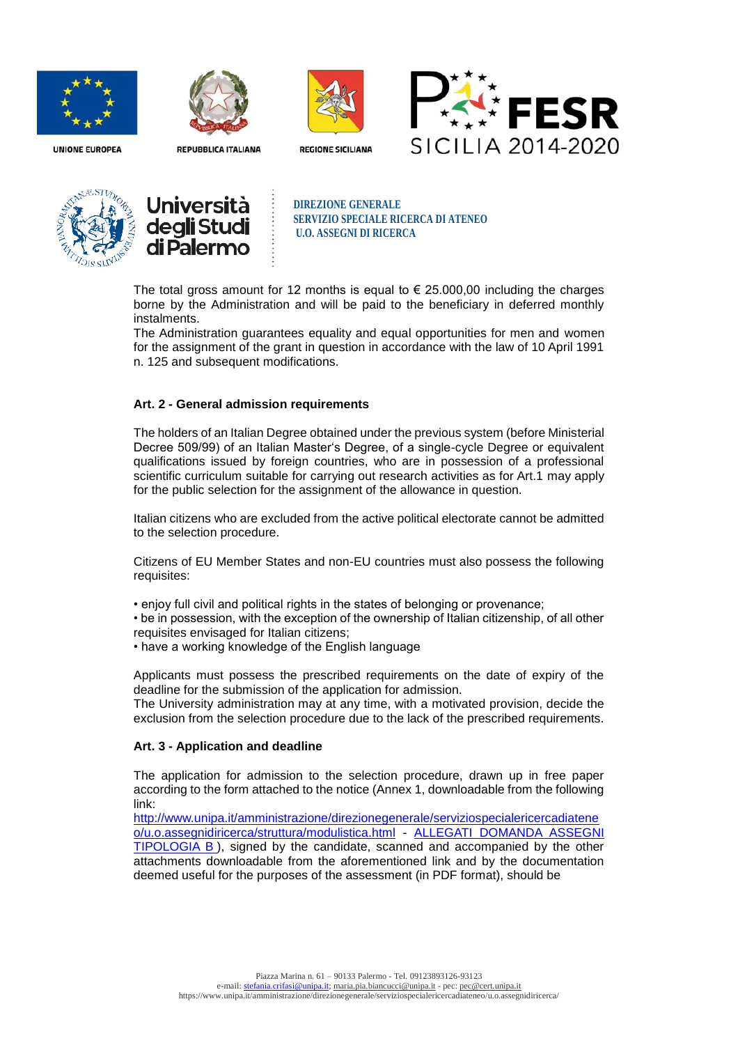



**REPUBBLICA ITALIANA** 









**DIREZIONE GENERALE SERVIZIO SPECIALE RICERCA DI ATENEO U.O. ASSEGNI DI RICERCA**

The total gross amount for 12 months is equal to  $\epsilon$  25.000,00 including the charges borne by the Administration and will be paid to the beneficiary in deferred monthly instalments.

The Administration guarantees equality and equal opportunities for men and women for the assignment of the grant in question in accordance with the law of 10 April 1991 n. 125 and subsequent modifications.

### **Art. 2 - General admission requirements**

The holders of an Italian Degree obtained under the previous system (before Ministerial Decree 509/99) of an Italian Master's Degree, of a single-cycle Degree or equivalent qualifications issued by foreign countries, who are in possession of a professional scientific curriculum suitable for carrying out research activities as for Art.1 may apply for the public selection for the assignment of the allowance in question.

Italian citizens who are excluded from the active political electorate cannot be admitted to the selection procedure.

Citizens of EU Member States and non-EU countries must also possess the following requisites:

- enjoy full civil and political rights in the states of belonging or provenance;
- be in possession, with the exception of the ownership of Italian citizenship, of all other requisites envisaged for Italian citizens;
- have a working knowledge of the English language

Applicants must possess the prescribed requirements on the date of expiry of the deadline for the submission of the application for admission.

The University administration may at any time, with a motivated provision, decide the exclusion from the selection procedure due to the lack of the prescribed requirements.

#### **Art. 3 - Application and deadline**

The application for admission to the selection procedure, drawn up in free paper according to the form attached to the notice (Annex 1, downloadable from the following link:

[http://www.unipa.it/amministrazione/direzionegenerale/serviziospecialericercadiatene](http://www.unipa.it/amministrazione/direzionegenerale/serviziospecialericercadiateneo/u.o.assegnidiricerca/struttura/modulistica.html) [o/u.o.assegnidiricerca/struttura/modulistica.html](http://www.unipa.it/amministrazione/direzionegenerale/serviziospecialericercadiateneo/u.o.assegnidiricerca/struttura/modulistica.html) - [ALLEGATI DOMANDA ASSEGNI](http://www.unipa.it/amministrazione/direzionegenerale/serviziospecialericercadiateneo/u.o.assegnidiricerca/.content/documenti/allegati_domanda_ass._tipologia_b_.doc)  [TIPOLOGIA B](http://www.unipa.it/amministrazione/direzionegenerale/serviziospecialericercadiateneo/u.o.assegnidiricerca/.content/documenti/allegati_domanda_ass._tipologia_b_.doc) ), signed by the candidate, scanned and accompanied by the other attachments downloadable from the aforementioned link and by the documentation deemed useful for the purposes of the assessment (in PDF format), should be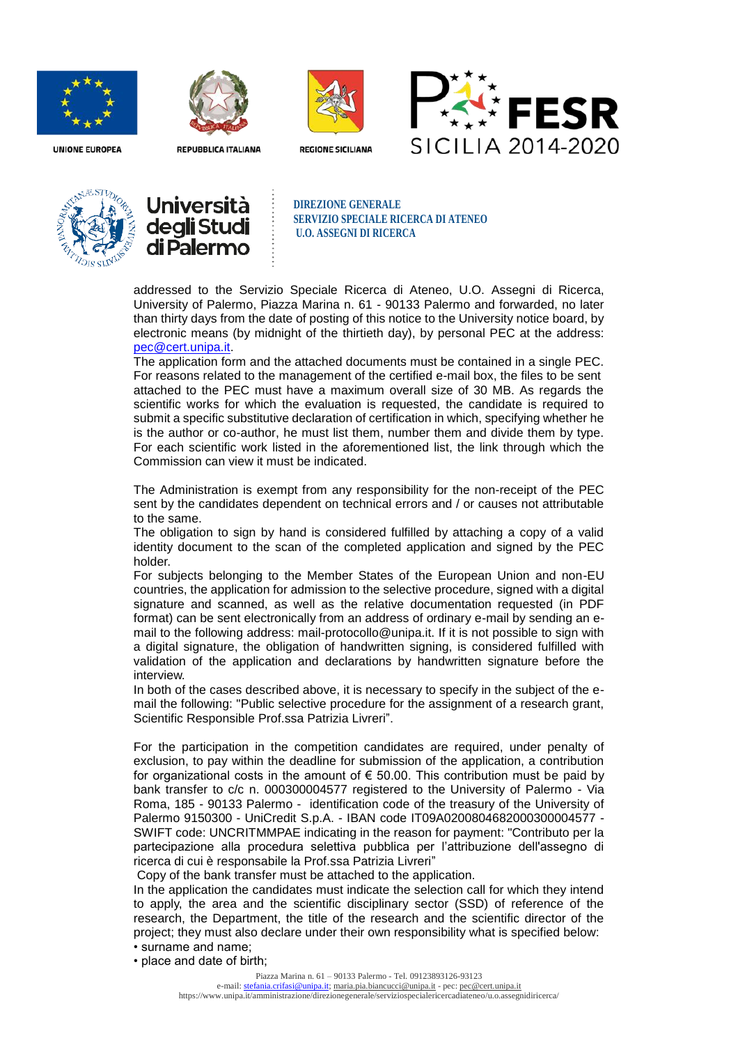



**REPUBBLICA ITALIANA** 



**REGIONE SICILIANA** 







**DIREZIONE GENERALE SERVIZIO SPECIALE RICERCA DI ATENEO U.O. ASSEGNI DI RICERCA**

addressed to the Servizio Speciale Ricerca di Ateneo, U.O. Assegni di Ricerca, University of Palermo, Piazza Marina n. 61 - 90133 Palermo and forwarded, no later than thirty days from the date of posting of this notice to the University notice board, by electronic means (by midnight of the thirtieth day), by personal PEC at the address: [pec@cert.unipa.it.](mailto:pec@cert.unipa.it)

The application form and the attached documents must be contained in a single PEC. For reasons related to the management of the certified e-mail box, the files to be sent attached to the PEC must have a maximum overall size of 30 MB. As regards the scientific works for which the evaluation is requested, the candidate is required to submit a specific substitutive declaration of certification in which, specifying whether he is the author or co-author, he must list them, number them and divide them by type. For each scientific work listed in the aforementioned list, the link through which the Commission can view it must be indicated.

The Administration is exempt from any responsibility for the non-receipt of the PEC sent by the candidates dependent on technical errors and / or causes not attributable to the same.

The obligation to sign by hand is considered fulfilled by attaching a copy of a valid identity document to the scan of the completed application and signed by the PEC holder.

For subjects belonging to the Member States of the European Union and non-EU countries, the application for admission to the selective procedure, signed with a digital signature and scanned, as well as the relative documentation requested (in PDF format) can be sent electronically from an address of ordinary e-mail by sending an email to the following address: mail-protocollo@unipa.it. If it is not possible to sign with a digital signature, the obligation of handwritten signing, is considered fulfilled with validation of the application and declarations by handwritten signature before the interview.

In both of the cases described above, it is necessary to specify in the subject of the email the following: "Public selective procedure for the assignment of a research grant, Scientific Responsible Prof.ssa Patrizia Livreri".

For the participation in the competition candidates are required, under penalty of exclusion, to pay within the deadline for submission of the application, a contribution for organizational costs in the amount of  $\epsilon$  50.00. This contribution must be paid by bank transfer to c/c n. 000300004577 registered to the University of Palermo - Via Roma, 185 - 90133 Palermo - identification code of the treasury of the University of Palermo 9150300 - UniCredit S.p.A. - IBAN code IT09A0200804682000300004577 - SWIFT code: UNCRITMMPAE indicating in the reason for payment: "Contributo per la partecipazione alla procedura selettiva pubblica per l'attribuzione dell'assegno di ricerca di cui è responsabile la Prof.ssa Patrizia Livreri"

Copy of the bank transfer must be attached to the application.

In the application the candidates must indicate the selection call for which they intend to apply, the area and the scientific disciplinary sector (SSD) of reference of the research, the Department, the title of the research and the scientific director of the project; they must also declare under their own responsibility what is specified below: • surname and name;

• place and date of birth;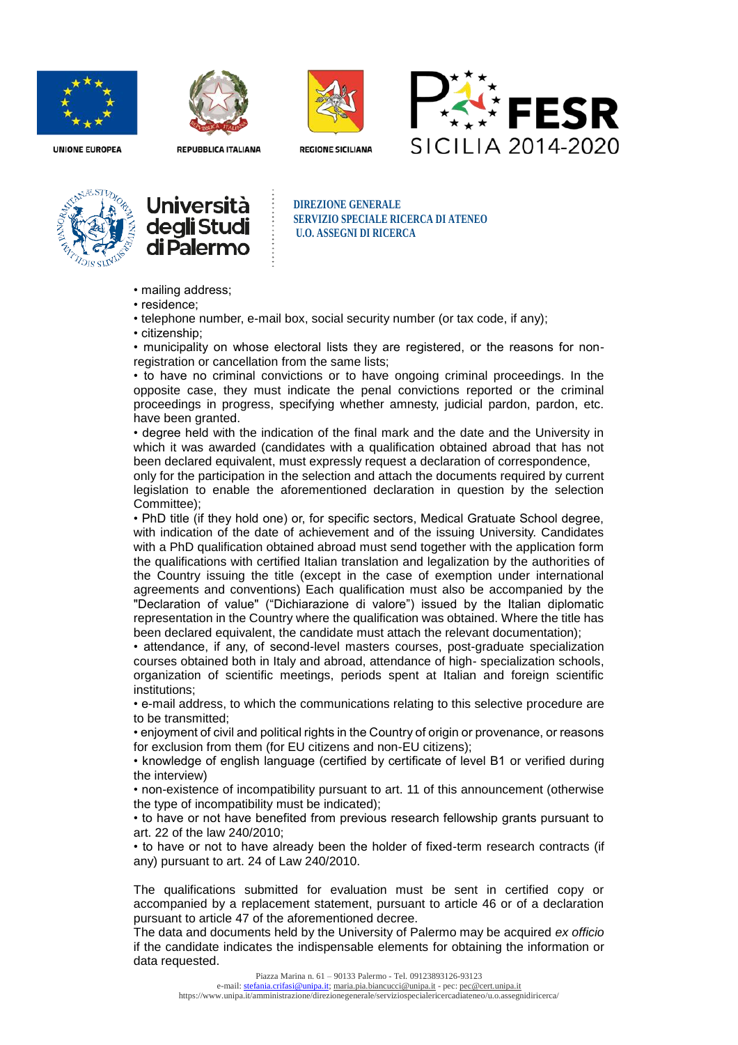



**REPUBBLICA ITALIANA** 



**REGIONE SICILIANA** 



**UNIONE EUROPEA** 





**DIREZIONE GENERALE SERVIZIO SPECIALE RICERCA DI ATENEO U.O. ASSEGNI DI RICERCA**

- mailing address;
- residence;

• telephone number, e-mail box, social security number (or tax code, if any);

• citizenship;

• municipality on whose electoral lists they are registered, or the reasons for nonregistration or cancellation from the same lists;

• to have no criminal convictions or to have ongoing criminal proceedings. In the opposite case, they must indicate the penal convictions reported or the criminal proceedings in progress, specifying whether amnesty, judicial pardon, pardon, etc. have been granted.

• degree held with the indication of the final mark and the date and the University in which it was awarded (candidates with a qualification obtained abroad that has not been declared equivalent, must expressly request a declaration of correspondence,

only for the participation in the selection and attach the documents required by current legislation to enable the aforementioned declaration in question by the selection Committee);

• PhD title (if they hold one) or, for specific sectors, Medical Gratuate School degree, with indication of the date of achievement and of the issuing University. Candidates with a PhD qualification obtained abroad must send together with the application form the qualifications with certified Italian translation and legalization by the authorities of the Country issuing the title (except in the case of exemption under international agreements and conventions) Each qualification must also be accompanied by the "Declaration of value" ("Dichiarazione di valore") issued by the Italian diplomatic representation in the Country where the qualification was obtained. Where the title has been declared equivalent, the candidate must attach the relevant documentation);

• attendance, if any, of second-level masters courses, post-graduate specialization courses obtained both in Italy and abroad, attendance of high- specialization schools, organization of scientific meetings, periods spent at Italian and foreign scientific institutions;

• e-mail address, to which the communications relating to this selective procedure are to be transmitted;

• enjoyment of civil and political rights in the Country of origin or provenance, or reasons for exclusion from them (for EU citizens and non-EU citizens);

• knowledge of english language (certified by certificate of level B1 or verified during the interview)

• non-existence of incompatibility pursuant to art. 11 of this announcement (otherwise the type of incompatibility must be indicated);

• to have or not have benefited from previous research fellowship grants pursuant to art. 22 of the law 240/2010;

• to have or not to have already been the holder of fixed-term research contracts (if any) pursuant to art. 24 of Law 240/2010.

The qualifications submitted for evaluation must be sent in certified copy or accompanied by a replacement statement, pursuant to article 46 or of a declaration pursuant to article 47 of the aforementioned decree.

The data and documents held by the University of Palermo may be acquired *ex officio* if the candidate indicates the indispensable elements for obtaining the information or data requested.

e-mail: [stefania.crifasi@unipa.it;](mailto:stefania.crifasi@unipa.it) maria.pia.biancucci@unipa.it - pec: [pec@cert.unipa.it](mailto:pec@cert.unipa.it) https://www.unipa.it/amministrazione/direzionegenerale/serviziospecialericercadiateneo/u.o.assegnidiricerca/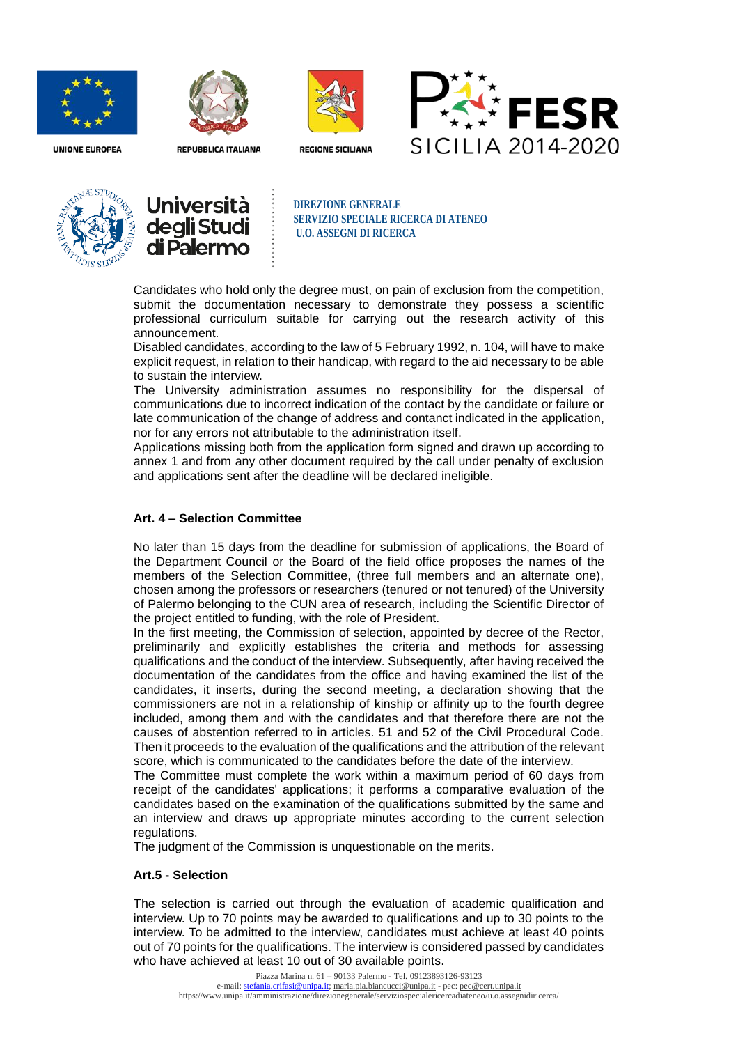



**REPUBBLICA ITALIANA** 



**REGIONE SICILIANA** 







**DIREZIONE GENERALE SERVIZIO SPECIALE RICERCA DI ATENEO U.O. ASSEGNI DI RICERCA**

Candidates who hold only the degree must, on pain of exclusion from the competition, submit the documentation necessary to demonstrate they possess a scientific professional curriculum suitable for carrying out the research activity of this announcement.

Disabled candidates, according to the law of 5 February 1992, n. 104, will have to make explicit request, in relation to their handicap, with regard to the aid necessary to be able to sustain the interview.

The University administration assumes no responsibility for the dispersal of communications due to incorrect indication of the contact by the candidate or failure or late communication of the change of address and contanct indicated in the application, nor for any errors not attributable to the administration itself.

Applications missing both from the application form signed and drawn up according to annex 1 and from any other document required by the call under penalty of exclusion and applications sent after the deadline will be declared ineligible.

## **Art. 4 – Selection Committee**

No later than 15 days from the deadline for submission of applications, the Board of the Department Council or the Board of the field office proposes the names of the members of the Selection Committee, (three full members and an alternate one), chosen among the professors or researchers (tenured or not tenured) of the University of Palermo belonging to the CUN area of research, including the Scientific Director of the project entitled to funding, with the role of President.

In the first meeting, the Commission of selection, appointed by decree of the Rector, preliminarily and explicitly establishes the criteria and methods for assessing qualifications and the conduct of the interview. Subsequently, after having received the documentation of the candidates from the office and having examined the list of the candidates, it inserts, during the second meeting, a declaration showing that the commissioners are not in a relationship of kinship or affinity up to the fourth degree included, among them and with the candidates and that therefore there are not the causes of abstention referred to in articles. 51 and 52 of the Civil Procedural Code. Then it proceeds to the evaluation of the qualifications and the attribution of the relevant score, which is communicated to the candidates before the date of the interview.

The Committee must complete the work within a maximum period of 60 days from receipt of the candidates' applications; it performs a comparative evaluation of the candidates based on the examination of the qualifications submitted by the same and an interview and draws up appropriate minutes according to the current selection regulations.

The judgment of the Commission is unquestionable on the merits.

### **Art.5 - Selection**

The selection is carried out through the evaluation of academic qualification and interview. Up to 70 points may be awarded to qualifications and up to 30 points to the interview. To be admitted to the interview, candidates must achieve at least 40 points out of 70 points for the qualifications. The interview is considered passed by candidates who have achieved at least 10 out of 30 available points.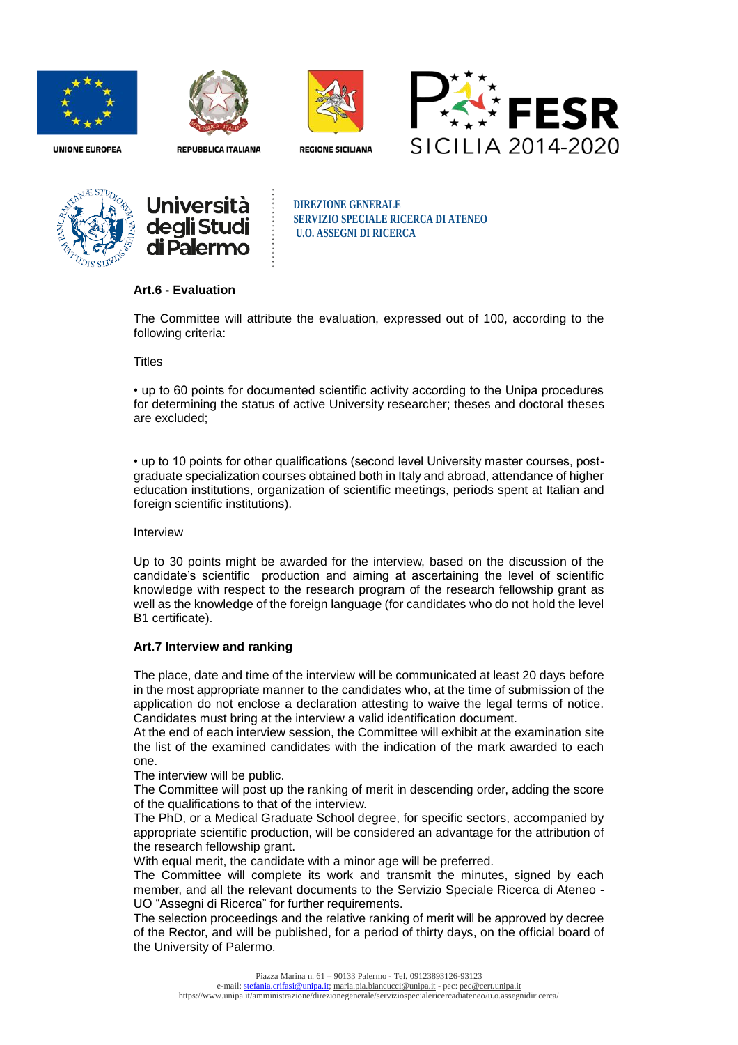



**REPUBBLICA ITALIANA** 









**DIREZIONE GENERALE SERVIZIO SPECIALE RICERCA DI ATENEO U.O. ASSEGNI DI RICERCA**

## **Art.6 - Evaluation**

The Committee will attribute the evaluation, expressed out of 100, according to the following criteria:

#### **Titles**

• up to 60 points for documented scientific activity according to the Unipa procedures for determining the status of active University researcher; theses and doctoral theses are excluded;

• up to 10 points for other qualifications (second level University master courses, postgraduate specialization courses obtained both in Italy and abroad, attendance of higher education institutions, organization of scientific meetings, periods spent at Italian and foreign scientific institutions).

Interview

Up to 30 points might be awarded for the interview, based on the discussion of the candidate's scientific production and aiming at ascertaining the level of scientific knowledge with respect to the research program of the research fellowship grant as well as the knowledge of the foreign language (for candidates who do not hold the level B1 certificate).

## **Art.7 Interview and ranking**

The place, date and time of the interview will be communicated at least 20 days before in the most appropriate manner to the candidates who, at the time of submission of the application do not enclose a declaration attesting to waive the legal terms of notice. Candidates must bring at the interview a valid identification document.

At the end of each interview session, the Committee will exhibit at the examination site the list of the examined candidates with the indication of the mark awarded to each one.

The interview will be public.

The Committee will post up the ranking of merit in descending order, adding the score of the qualifications to that of the interview.

The PhD, or a Medical Graduate School degree, for specific sectors, accompanied by appropriate scientific production, will be considered an advantage for the attribution of the research fellowship grant.

With equal merit, the candidate with a minor age will be preferred.

The Committee will complete its work and transmit the minutes, signed by each member, and all the relevant documents to the Servizio Speciale Ricerca di Ateneo - UO "Assegni di Ricerca" for further requirements.

The selection proceedings and the relative ranking of merit will be approved by decree of the Rector, and will be published, for a period of thirty days, on the official board of the University of Palermo.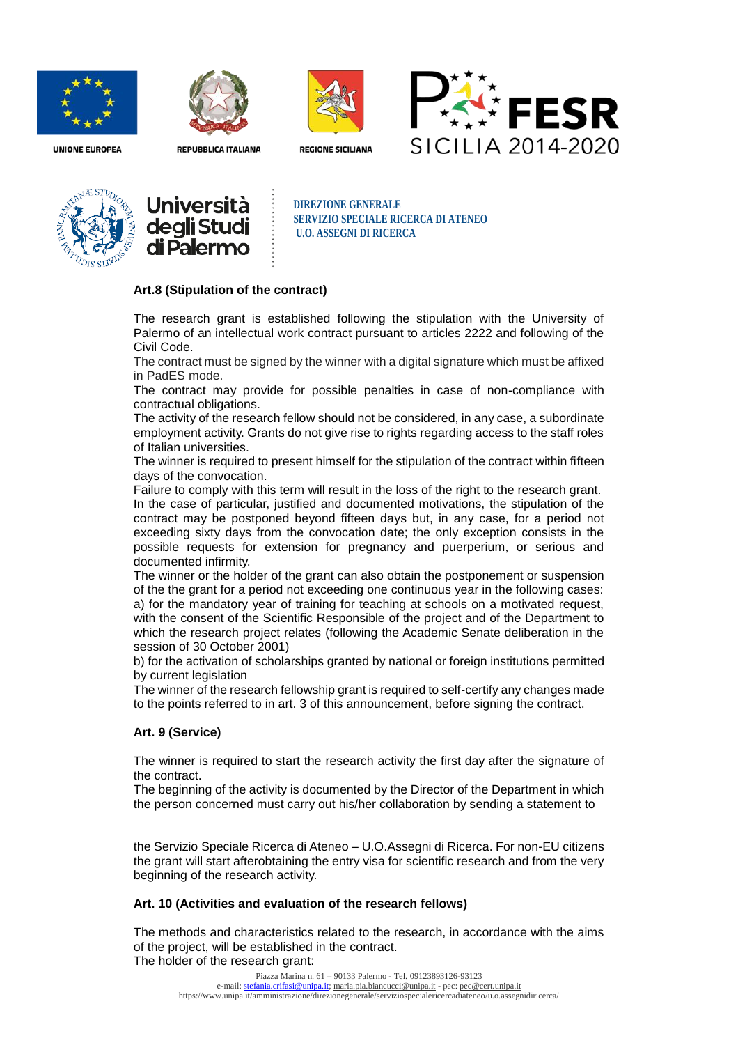



**REPUBBLICA ITALIANA** 



**REGIONE SICILIANA** 







**DIREZIONE GENERALE SERVIZIO SPECIALE RICERCA DI ATENEO U.O. ASSEGNI DI RICERCA**

### **Art.8 (Stipulation of the contract)**

The research grant is established following the stipulation with the University of Palermo of an intellectual work contract pursuant to articles 2222 and following of the Civil Code.

The contract must be signed by the winner with a digital signature which must be affixed in PadES mode.

The contract may provide for possible penalties in case of non-compliance with contractual obligations.

The activity of the research fellow should not be considered, in any case, a subordinate employment activity. Grants do not give rise to rights regarding access to the staff roles of Italian universities.

The winner is required to present himself for the stipulation of the contract within fifteen days of the convocation.

Failure to comply with this term will result in the loss of the right to the research grant. In the case of particular, justified and documented motivations, the stipulation of the contract may be postponed beyond fifteen days but, in any case, for a period not exceeding sixty days from the convocation date; the only exception consists in the possible requests for extension for pregnancy and puerperium, or serious and documented infirmity.

The winner or the holder of the grant can also obtain the postponement or suspension of the the grant for a period not exceeding one continuous year in the following cases: a) for the mandatory year of training for teaching at schools on a motivated request, with the consent of the Scientific Responsible of the project and of the Department to which the research project relates (following the Academic Senate deliberation in the session of 30 October 2001)

b) for the activation of scholarships granted by national or foreign institutions permitted by current legislation

The winner of the research fellowship grant is required to self-certify any changes made to the points referred to in art. 3 of this announcement, before signing the contract.

## **Art. 9 (Service)**

The winner is required to start the research activity the first day after the signature of the contract.

The beginning of the activity is documented by the Director of the Department in which the person concerned must carry out his/her collaboration by sending a statement to

the Servizio Speciale Ricerca di Ateneo – U.O.Assegni di Ricerca. For non-EU citizens the grant will start afterobtaining the entry visa for scientific research and from the very beginning of the research activity.

#### **Art. 10 (Activities and evaluation of the research fellows)**

The methods and characteristics related to the research, in accordance with the aims of the project, will be established in the contract. The holder of the research grant: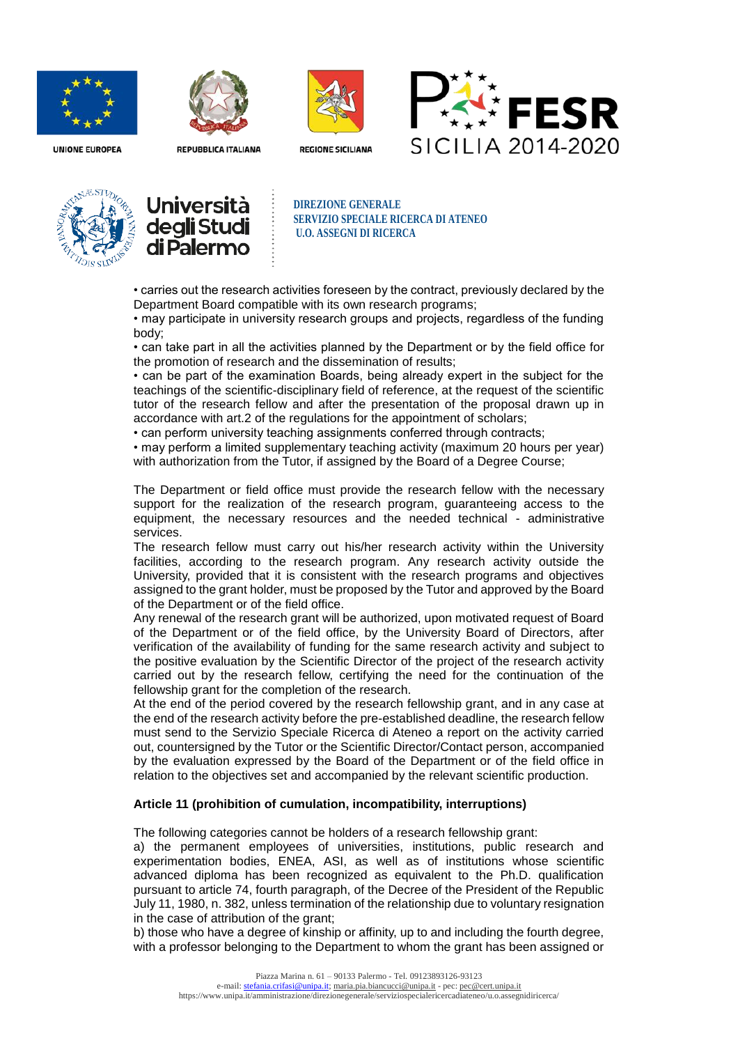



**REPUBBLICA ITALIANA** 



**REGIONE SICILIANA** 







**DIREZIONE GENERALE SERVIZIO SPECIALE RICERCA DI ATENEO U.O. ASSEGNI DI RICERCA**

• carries out the research activities foreseen by the contract, previously declared by the Department Board compatible with its own research programs;

• may participate in university research groups and projects, regardless of the funding body;

• can take part in all the activities planned by the Department or by the field office for the promotion of research and the dissemination of results;

• can be part of the examination Boards, being already expert in the subject for the teachings of the scientific-disciplinary field of reference, at the request of the scientific tutor of the research fellow and after the presentation of the proposal drawn up in accordance with art.2 of the regulations for the appointment of scholars;

• can perform university teaching assignments conferred through contracts;

• may perform a limited supplementary teaching activity (maximum 20 hours per year) with authorization from the Tutor, if assigned by the Board of a Degree Course;

The Department or field office must provide the research fellow with the necessary support for the realization of the research program, guaranteeing access to the equipment, the necessary resources and the needed technical - administrative services.

The research fellow must carry out his/her research activity within the University facilities, according to the research program. Any research activity outside the University, provided that it is consistent with the research programs and objectives assigned to the grant holder, must be proposed by the Tutor and approved by the Board of the Department or of the field office.

Any renewal of the research grant will be authorized, upon motivated request of Board of the Department or of the field office, by the University Board of Directors, after verification of the availability of funding for the same research activity and subject to the positive evaluation by the Scientific Director of the project of the research activity carried out by the research fellow, certifying the need for the continuation of the fellowship grant for the completion of the research.

At the end of the period covered by the research fellowship grant, and in any case at the end of the research activity before the pre-established deadline, the research fellow must send to the Servizio Speciale Ricerca di Ateneo a report on the activity carried out, countersigned by the Tutor or the Scientific Director/Contact person, accompanied by the evaluation expressed by the Board of the Department or of the field office in relation to the objectives set and accompanied by the relevant scientific production.

#### **Article 11 (prohibition of cumulation, incompatibility, interruptions)**

The following categories cannot be holders of a research fellowship grant:

a) the permanent employees of universities, institutions, public research and experimentation bodies, ENEA, ASI, as well as of institutions whose scientific advanced diploma has been recognized as equivalent to the Ph.D. qualification pursuant to article 74, fourth paragraph, of the Decree of the President of the Republic July 11, 1980, n. 382, unless termination of the relationship due to voluntary resignation in the case of attribution of the grant;

b) those who have a degree of kinship or affinity, up to and including the fourth degree, with a professor belonging to the Department to whom the grant has been assigned or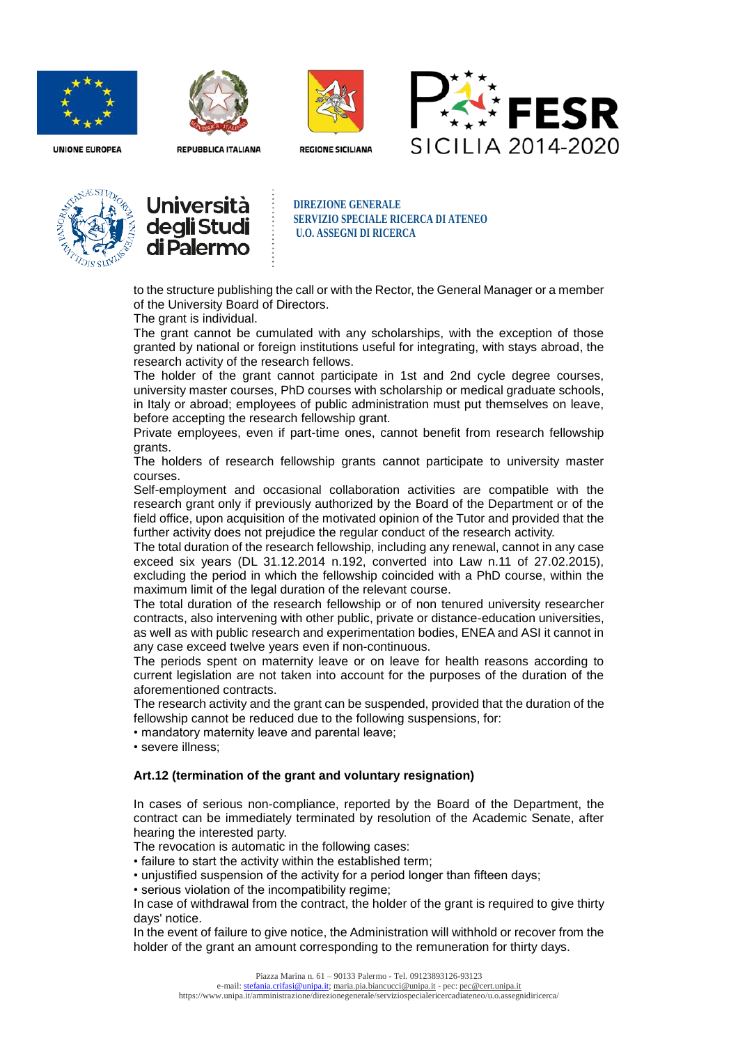



**REPUBBLICA ITALIANA** 



**REGIONE SICILIANA** 







**DIREZIONE GENERALE SERVIZIO SPECIALE RICERCA DI ATENEO U.O. ASSEGNI DI RICERCA**

to the structure publishing the call or with the Rector, the General Manager or a member of the University Board of Directors.

The grant is individual.

The grant cannot be cumulated with any scholarships, with the exception of those granted by national or foreign institutions useful for integrating, with stays abroad, the research activity of the research fellows.

The holder of the grant cannot participate in 1st and 2nd cycle degree courses, university master courses, PhD courses with scholarship or medical graduate schools, in Italy or abroad; employees of public administration must put themselves on leave, before accepting the research fellowship grant.

Private employees, even if part-time ones, cannot benefit from research fellowship grants.

The holders of research fellowship grants cannot participate to university master courses.

Self-employment and occasional collaboration activities are compatible with the research grant only if previously authorized by the Board of the Department or of the field office, upon acquisition of the motivated opinion of the Tutor and provided that the further activity does not prejudice the regular conduct of the research activity.

The total duration of the research fellowship, including any renewal, cannot in any case exceed six years (DL 31.12.2014 n.192, converted into Law n.11 of 27.02.2015), excluding the period in which the fellowship coincided with a PhD course, within the maximum limit of the legal duration of the relevant course.

The total duration of the research fellowship or of non tenured university researcher contracts, also intervening with other public, private or distance-education universities, as well as with public research and experimentation bodies, ENEA and ASI it cannot in any case exceed twelve years even if non-continuous.

The periods spent on maternity leave or on leave for health reasons according to current legislation are not taken into account for the purposes of the duration of the aforementioned contracts.

The research activity and the grant can be suspended, provided that the duration of the fellowship cannot be reduced due to the following suspensions, for:

• mandatory maternity leave and parental leave;

• severe illness;

## **Art.12 (termination of the grant and voluntary resignation)**

In cases of serious non-compliance, reported by the Board of the Department, the contract can be immediately terminated by resolution of the Academic Senate, after hearing the interested party.

The revocation is automatic in the following cases:

• failure to start the activity within the established term;

• unjustified suspension of the activity for a period longer than fifteen days;

• serious violation of the incompatibility regime;

In case of withdrawal from the contract, the holder of the grant is required to give thirty days' notice.

In the event of failure to give notice, the Administration will withhold or recover from the holder of the grant an amount corresponding to the remuneration for thirty days.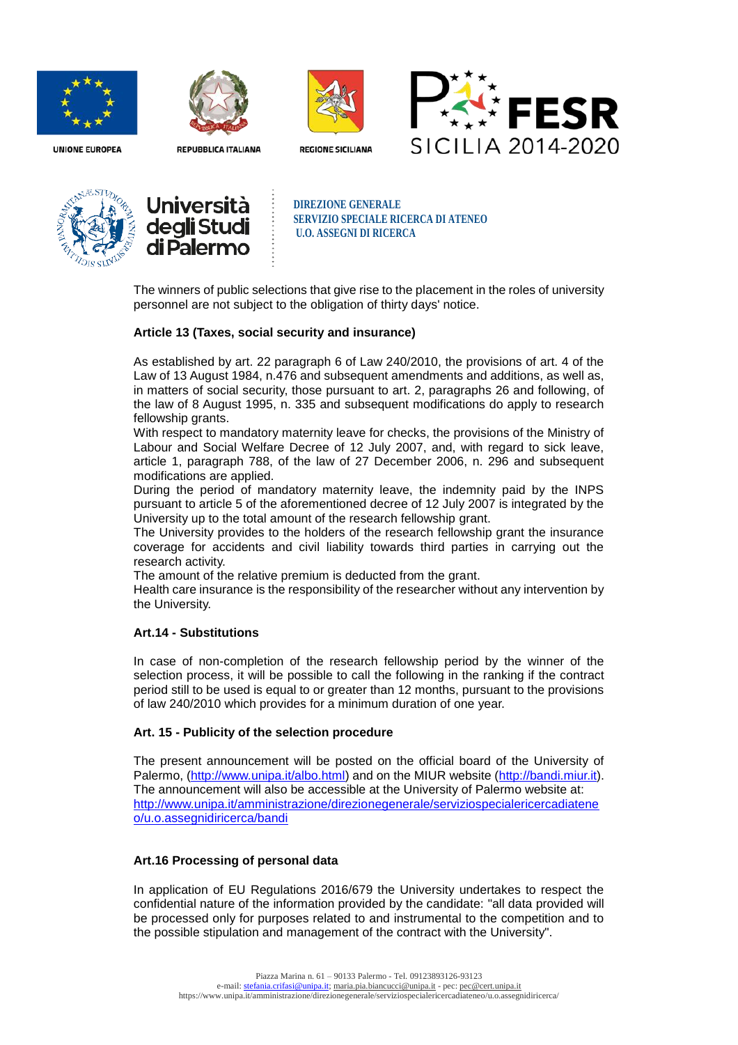



**REPUBBLICA ITALIANA** 









**DIREZIONE GENERALE SERVIZIO SPECIALE RICERCA DI ATENEO U.O. ASSEGNI DI RICERCA**

The winners of public selections that give rise to the placement in the roles of university personnel are not subject to the obligation of thirty days' notice.

## **Article 13 (Taxes, social security and insurance)**

As established by art. 22 paragraph 6 of Law 240/2010, the provisions of art. 4 of the Law of 13 August 1984, n.476 and subsequent amendments and additions, as well as, in matters of social security, those pursuant to art. 2, paragraphs 26 and following, of the law of 8 August 1995, n. 335 and subsequent modifications do apply to research fellowship grants.

With respect to mandatory maternity leave for checks, the provisions of the Ministry of Labour and Social Welfare Decree of 12 July 2007, and, with regard to sick leave, article 1, paragraph 788, of the law of 27 December 2006, n. 296 and subsequent modifications are applied.

During the period of mandatory maternity leave, the indemnity paid by the INPS pursuant to article 5 of the aforementioned decree of 12 July 2007 is integrated by the University up to the total amount of the research fellowship grant.

The University provides to the holders of the research fellowship grant the insurance coverage for accidents and civil liability towards third parties in carrying out the research activity.

The amount of the relative premium is deducted from the grant.

Health care insurance is the responsibility of the researcher without any intervention by the University.

### **Art.14 - Substitutions**

In case of non-completion of the research fellowship period by the winner of the selection process, it will be possible to call the following in the ranking if the contract period still to be used is equal to or greater than 12 months, pursuant to the provisions of law 240/2010 which provides for a minimum duration of one year.

#### **Art. 15 - Publicity of the selection procedure**

The present announcement will be posted on the official board of the University of Palermo, [\(http://www.unipa.it/albo.html\)](http://www.unipa.it/albo.html) and on the MIUR website [\(http://bandi.miur.it\)](http://bandi.miur.it/). The announcement will also be accessible at the University of Palermo website at: [http://www.unipa.it/amministrazione/direzionegenerale/serviziospecialericercadiatene](http://www.unipa.it/amministrazione/direzionegenerale/serviziospecialericercadiateneo/u.o.assegnidiricerca/bandi) [o/u.o.assegnidiricerca/bandi](http://www.unipa.it/amministrazione/direzionegenerale/serviziospecialericercadiateneo/u.o.assegnidiricerca/bandi)

### **Art.16 Processing of personal data**

In application of EU Regulations 2016/679 the University undertakes to respect the confidential nature of the information provided by the candidate: "all data provided will be processed only for purposes related to and instrumental to the competition and to the possible stipulation and management of the contract with the University".